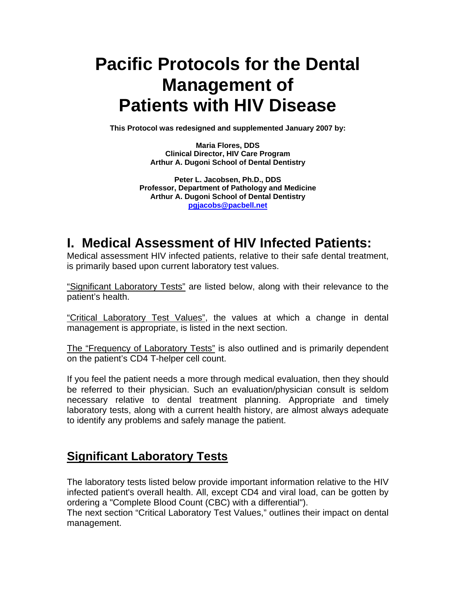# **Pacific Protocols for the Dental Management of Patients with HIV Disease**

**This Protocol was redesigned and supplemented January 2007 by:** 

**Maria Flores, DDS Clinical Director, HIV Care Program Arthur A. Dugoni School of Dental Dentistry** 

**Peter L. Jacobsen, Ph.D., DDS Professor, Department of Pathology and Medicine Arthur A. Dugoni School of Dental Dentistry pgjacobs@pacbell.net**

# **I. Medical Assessment of HIV Infected Patients:**

Medical assessment HIV infected patients, relative to their safe dental treatment, is primarily based upon current laboratory test values.

"Significant Laboratory Tests" are listed below, along with their relevance to the patient's health.

"Critical Laboratory Test Values", the values at which a change in dental management is appropriate, is listed in the next section.

The "Frequency of Laboratory Tests" is also outlined and is primarily dependent on the patient's CD4 T-helper cell count.

If you feel the patient needs a more through medical evaluation, then they should be referred to their physician. Such an evaluation/physician consult is seldom necessary relative to dental treatment planning. Appropriate and timely laboratory tests, along with a current health history, are almost always adequate to identify any problems and safely manage the patient.

### **Significant Laboratory Tests**

The laboratory tests listed below provide important information relative to the HIV infected patient's overall health. All, except CD4 and viral load, can be gotten by ordering a "Complete Blood Count (CBC) with a differential").

The next section "Critical Laboratory Test Values," outlines their impact on dental management.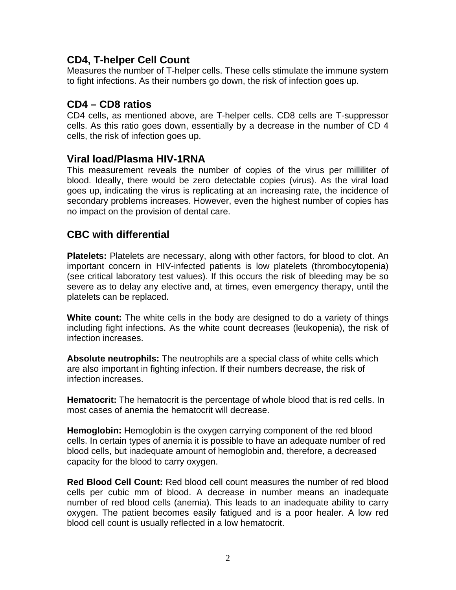#### **CD4, T-helper Cell Count**

Measures the number of T-helper cells. These cells stimulate the immune system to fight infections. As their numbers go down, the risk of infection goes up.

#### **CD4 – CD8 ratios**

CD4 cells, as mentioned above, are T-helper cells. CD8 cells are T-suppressor cells. As this ratio goes down, essentially by a decrease in the number of CD 4 cells, the risk of infection goes up.

#### **Viral load/Plasma HIV-1RNA**

This measurement reveals the number of copies of the virus per milliliter of blood. Ideally, there would be zero detectable copies (virus). As the viral load goes up, indicating the virus is replicating at an increasing rate, the incidence of secondary problems increases. However, even the highest number of copies has no impact on the provision of dental care.

#### **CBC with differential**

**Platelets:** Platelets are necessary, along with other factors, for blood to clot. An important concern in HIV-infected patients is low platelets (thrombocytopenia) (see critical laboratory test values). If this occurs the risk of bleeding may be so severe as to delay any elective and, at times, even emergency therapy, until the platelets can be replaced.

**White count:** The white cells in the body are designed to do a variety of things including fight infections. As the white count decreases (leukopenia), the risk of infection increases.

**Absolute neutrophils:** The neutrophils are a special class of white cells which are also important in fighting infection. If their numbers decrease, the risk of infection increases.

**Hematocrit:** The hematocrit is the percentage of whole blood that is red cells. In most cases of anemia the hematocrit will decrease.

**Hemoglobin:** Hemoglobin is the oxygen carrying component of the red blood cells. In certain types of anemia it is possible to have an adequate number of red blood cells, but inadequate amount of hemoglobin and, therefore, a decreased capacity for the blood to carry oxygen.

**Red Blood Cell Count:** Red blood cell count measures the number of red blood cells per cubic mm of blood. A decrease in number means an inadequate number of red blood cells (anemia). This leads to an inadequate ability to carry oxygen. The patient becomes easily fatigued and is a poor healer. A low red blood cell count is usually reflected in a low hematocrit.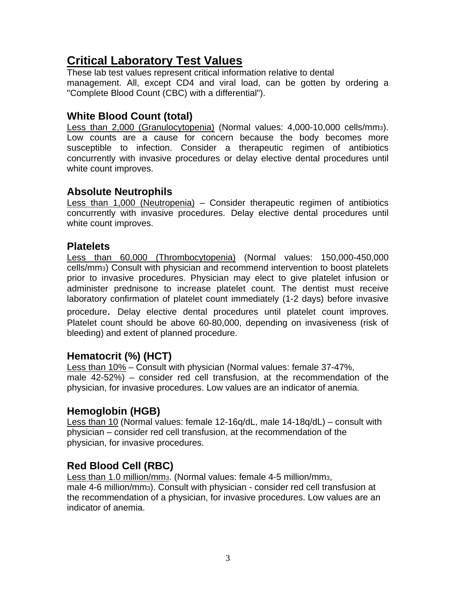# **Critical Laboratory Test Values**

These lab test values represent critical information relative to dental management. All, except CD4 and viral load, can be gotten by ordering a "Complete Blood Count (CBC) with a differential").

#### **White Blood Count (total)**

Less than 2,000 (Granulocytopenia) (Normal values: 4,000-10,000 cells/mm3). Low counts are a cause for concern because the body becomes more susceptible to infection. Consider a therapeutic regimen of antibiotics concurrently with invasive procedures or delay elective dental procedures until white count improves.

#### **Absolute Neutrophils**

Less than 1,000 (Neutropenia) – Consider therapeutic regimen of antibiotics concurrently with invasive procedures. Delay elective dental procedures until white count improves.

#### **Platelets**

Less than 60,000 (Thrombocytopenia) (Normal values: 150,000-450,000 cells/mm3) Consult with physician and recommend intervention to boost platelets prior to invasive procedures. Physician may elect to give platelet infusion or administer prednisone to increase platelet count. The dentist must receive laboratory confirmation of platelet count immediately (1-2 days) before invasive

procedure. Delay elective dental procedures until platelet count improves. Platelet count should be above 60-80,000, depending on invasiveness (risk of bleeding) and extent of planned procedure.

#### **Hematocrit (%) (HCT)**

Less than 10% – Consult with physician (Normal values: female 37-47%, male 42-52%) – consider red cell transfusion, at the recommendation of the physician, for invasive procedures. Low values are an indicator of anemia.

#### **Hemoglobin (HGB)**

Less than 10 (Normal values: female 12-16q/dL, male 14-18q/dL) – consult with physician – consider red cell transfusion, at the recommendation of the physician, for invasive procedures.

#### **Red Blood Cell (RBC)**

Less than 1.0 million/mm3. (Normal values: female 4-5 million/mm3, male 4-6 million/mm3). Consult with physician - consider red cell transfusion at the recommendation of a physician, for invasive procedures. Low values are an indicator of anemia.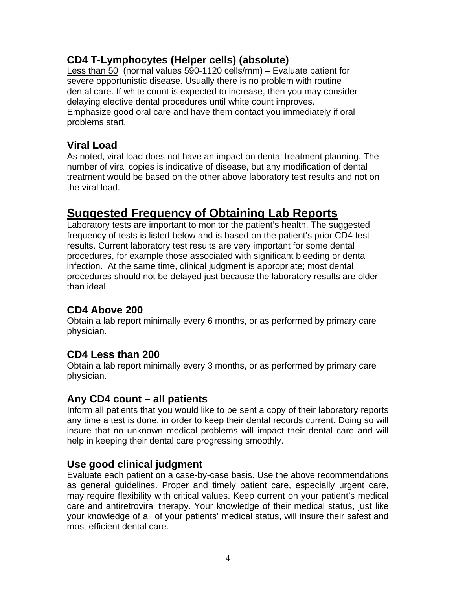#### **CD4 T-Lymphocytes (Helper cells) (absolute)**

Less than 50 (normal values 590-1120 cells/mm) – Evaluate patient for severe opportunistic disease. Usually there is no problem with routine dental care. If white count is expected to increase, then you may consider delaying elective dental procedures until white count improves. Emphasize good oral care and have them contact you immediately if oral problems start.

#### **Viral Load**

As noted, viral load does not have an impact on dental treatment planning. The number of viral copies is indicative of disease, but any modification of dental treatment would be based on the other above laboratory test results and not on the viral load.

### **Suggested Frequency of Obtaining Lab Reports**

Laboratory tests are important to monitor the patient's health. The suggested frequency of tests is listed below and is based on the patient's prior CD4 test results. Current laboratory test results are very important for some dental procedures, for example those associated with significant bleeding or dental infection. At the same time, clinical judgment is appropriate; most dental procedures should not be delayed just because the laboratory results are older than ideal.

#### **CD4 Above 200**

Obtain a lab report minimally every 6 months, or as performed by primary care physician.

#### **CD4 Less than 200**

Obtain a lab report minimally every 3 months, or as performed by primary care physician.

#### **Any CD4 count – all patients**

Inform all patients that you would like to be sent a copy of their laboratory reports any time a test is done, in order to keep their dental records current. Doing so will insure that no unknown medical problems will impact their dental care and will help in keeping their dental care progressing smoothly.

#### **Use good clinical judgment**

Evaluate each patient on a case-by-case basis. Use the above recommendations as general guidelines. Proper and timely patient care, especially urgent care, may require flexibility with critical values. Keep current on your patient's medical care and antiretroviral therapy. Your knowledge of their medical status, just like your knowledge of all of your patients' medical status, will insure their safest and most efficient dental care.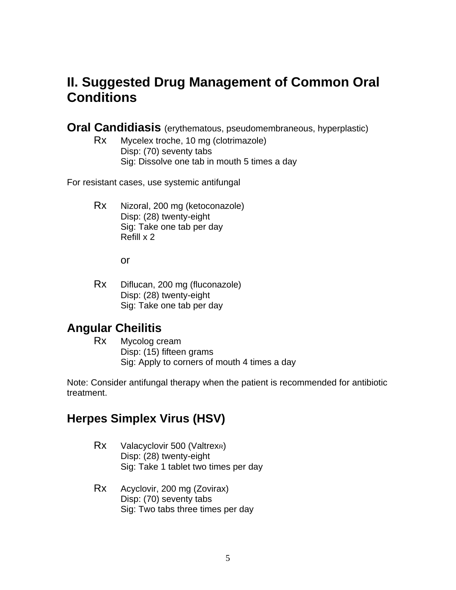# **II. Suggested Drug Management of Common Oral Conditions**

**Oral Candidiasis** (erythematous, pseudomembraneous, hyperplastic)

Rx Mycelex troche, 10 mg (clotrimazole) Disp: (70) seventy tabs Sig: Dissolve one tab in mouth 5 times a day

For resistant cases, use systemic antifungal

Rx Nizoral, 200 mg (ketoconazole) Disp: (28) twenty-eight Sig: Take one tab per day Refill x 2

or

Rx Diflucan, 200 mg (fluconazole) Disp: (28) twenty-eight Sig: Take one tab per day

# **Angular Cheilitis**

Rx Mycolog cream Disp: (15) fifteen grams Sig: Apply to corners of mouth 4 times a day

Note: Consider antifungal therapy when the patient is recommended for antibiotic treatment.

### **Herpes Simplex Virus (HSV)**

- Rx Valacyclovir 500 (ValtrexR) Disp: (28) twenty-eight Sig: Take 1 tablet two times per day
- Rx Acyclovir, 200 mg (Zovirax) Disp: (70) seventy tabs Sig: Two tabs three times per day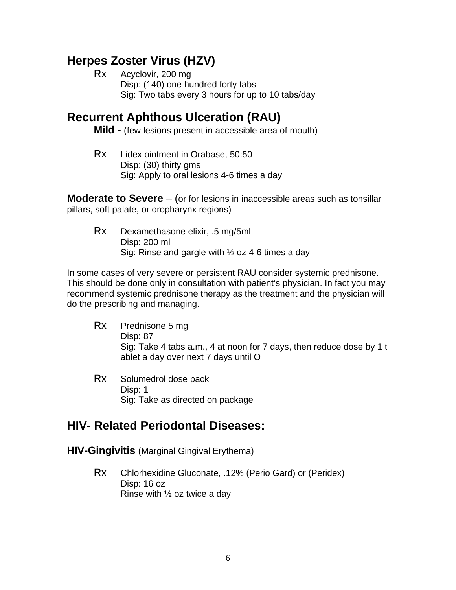# **Herpes Zoster Virus (HZV)**

Rx Acyclovir, 200 mg Disp: (140) one hundred forty tabs Sig: Two tabs every 3 hours for up to 10 tabs/day

## **Recurrent Aphthous Ulceration (RAU)**

**Mild -** (few lesions present in accessible area of mouth)

 Rx Lidex ointment in Orabase, 50:50 Disp: (30) thirty gms Sig: Apply to oral lesions 4-6 times a day

**Moderate to Severe** – (or for lesions in inaccessible areas such as tonsillar pillars, soft palate, or oropharynx regions)

Rx Dexamethasone elixir, .5 mg/5ml Disp: 200 ml Sig: Rinse and gargle with ½ oz 4-6 times a day

In some cases of very severe or persistent RAU consider systemic prednisone. This should be done only in consultation with patient's physician. In fact you may recommend systemic prednisone therapy as the treatment and the physician will do the prescribing and managing.

- Rx Prednisone 5 mg Disp: 87 Sig: Take 4 tabs a.m., 4 at noon for 7 days, then reduce dose by 1 t ablet a day over next 7 days until O
- Rx Solumedrol dose pack Disp: 1 Sig: Take as directed on package

# **HIV- Related Periodontal Diseases:**

#### **HIV-Gingivitis** (Marginal Gingival Erythema)

Rx Chlorhexidine Gluconate, .12% (Perio Gard) or (Peridex) Disp: 16 oz Rinse with  $\frac{1}{2}$  oz twice a day